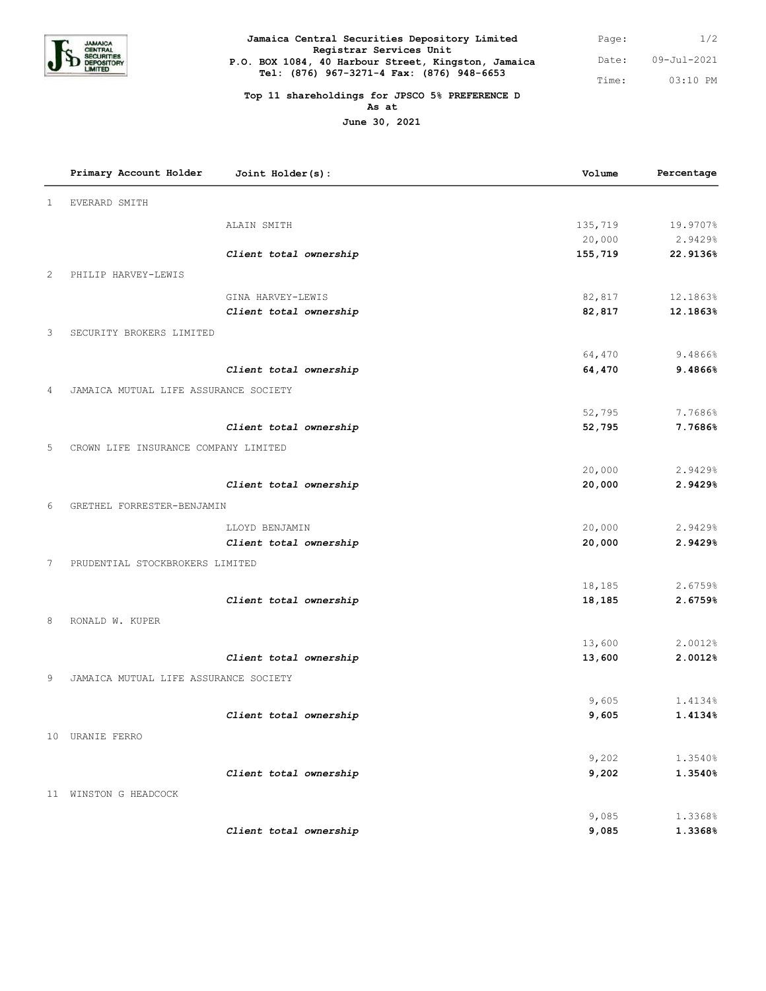

| Jamaica Central Securities Depository Limited                                                                               | Page: | 1/2         |
|-----------------------------------------------------------------------------------------------------------------------------|-------|-------------|
| Registrar Services Unit<br>P.O. BOX 1084, 40 Harbour Street, Kingston, Jamaica<br>Tel: (876) 967-3271-4 Fax: (876) 948-6653 | Date: | 09-Jul-2021 |
|                                                                                                                             | Time: | $03:10$ PM  |

## **Top 11 shareholdings for JPSCO 5% PREFERENCE D As at**

**June 30, 2021**

|                | Primary Account Holder<br>Joint Holder(s): | Volume  | Percentage |
|----------------|--------------------------------------------|---------|------------|
| 1              | <b>EVERARD SMITH</b>                       |         |            |
|                | ALAIN SMITH                                | 135,719 | 19.9707%   |
|                |                                            | 20,000  | 2.9429%    |
|                | Client total ownership                     | 155,719 | 22.9136%   |
| 2              | PHILIP HARVEY-LEWIS                        |         |            |
|                | GINA HARVEY-LEWIS                          | 82,817  | 12.1863%   |
|                | Client total ownership                     | 82,817  | 12.1863%   |
| 3              | SECURITY BROKERS LIMITED                   |         |            |
|                |                                            | 64,470  | 9.4866%    |
|                | Client total ownership                     | 64,470  | 9.4866%    |
| $\overline{4}$ | JAMAICA MUTUAL LIFE ASSURANCE SOCIETY      |         |            |
|                |                                            | 52,795  | 7.7686%    |
|                | Client total ownership                     | 52,795  | 7.7686%    |
| 5              | CROWN LIFE INSURANCE COMPANY LIMITED       |         |            |
|                |                                            | 20,000  | 2.9429%    |
|                | Client total ownership                     | 20,000  | 2.9429%    |
| 6              | GRETHEL FORRESTER-BENJAMIN                 |         |            |
|                | LLOYD BENJAMIN                             | 20,000  | 2.9429%    |
|                | Client total ownership                     | 20,000  | 2.9429%    |
| 7              | PRUDENTIAL STOCKBROKERS LIMITED            |         |            |
|                |                                            | 18,185  | 2.6759%    |
|                | Client total ownership                     | 18,185  | 2.6759%    |
| 8              | RONALD W. KUPER                            |         |            |
|                |                                            | 13,600  | 2.0012%    |
|                | Client total ownership                     | 13,600  | 2.0012%    |
| 9              | JAMAICA MUTUAL LIFE ASSURANCE SOCIETY      |         |            |
|                |                                            | 9,605   | 1.4134%    |
|                | Client total ownership                     | 9,605   | 1.4134%    |
|                | 10 URANIE FERRO                            |         |            |
|                |                                            | 9,202   | 1.3540%    |
|                | Client total ownership                     | 9,202   | 1.3540%    |
|                | 11 WINSTON G HEADCOCK                      |         |            |
|                |                                            | 9,085   | 1.3368%    |
|                | Client total ownership                     | 9,085   | 1.3368%    |